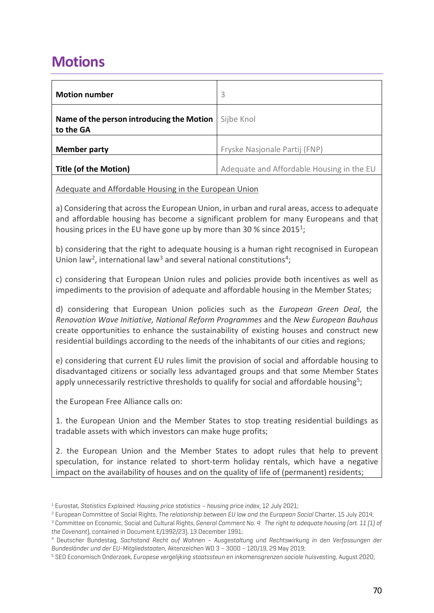## **Motions**

| <b>Motion number</b>                                   | 3                                         |
|--------------------------------------------------------|-------------------------------------------|
| Name of the person introducing the Motion<br>to the GA | Sijbe Knol                                |
| <b>Member party</b>                                    | Fryske Nasjonale Partij (FNP)             |
| <b>Title (of the Motion)</b>                           | Adequate and Affordable Housing in the EU |

## Adequate and Affordable Housing in the European Union

a) Considering that across the European Union, in urban and rural areas, access to adequate and affordable housing has become a significant problem for many Europeans and that housing prices in the EU have gone up by more than 30 % since 2015<sup>1</sup>;

b) considering that the right to adequate housing is a human right recognised in European Union law<sup>2</sup>, international law<sup>3</sup> and several national constitutions<sup>4</sup>;

c) considering that European Union rules and policies provide both incentives as well as impediments to the provision of adequate and affordable housing in the Member States;

d) considering that European Union policies such as the *European Green Deal*, the *Renovation Wave Initiative, National Reform Programmes* and the *New European Bauhaus* create opportunities to enhance the sustainability of existing houses and construct new residential buildings according to the needs of the inhabitants of our cities and regions;

e) considering that current EU rules limit the provision of social and affordable housing to disadvantaged citizens or socially less advantaged groups and that some Member States apply unnecessarily restrictive thresholds to qualify for social and affordable housing<sup>5</sup>;

the European Free Alliance calls on:

1. the European Union and the Member States to stop treating residential buildings as tradable assets with which investors can make huge profits;

2. the European Union and the Member States to adopt rules that help to prevent speculation, for instance related to short-term holiday rentals, which have a negative impact on the availability of houses and on the quality of life of (permanent) residents;

 $^1$  Eurostat, Statistics Explained: Housing price statistics – housing price index, 12 July 2021;<br><sup>2</sup> European Committee of Social Rights, The relationship between EU law and the European Social Charter, 15 July 2014;

<sup>3</sup> Committee on Economic, Social and Cultural Rights, *General Comment No. 4: The right to adequate housing (art. 11 (1) of the Covenant*), contained in Document E/1992/23), 13 December 1991; 4 Deutscher Bundestag, *Sachstand Recht auf Wohnen – Ausgestaltung und Rechtswirkung in den Verfassungen der* 

*Bundesländer und der EU-Mitgliedstaaten*, Aktenzeichen WD 3 – 3000 – 120/19, 29 May 2019; 5 SEO Economisch Onderzoek, *Europese vergelijking staatssteun en inkomensgrenzen sociale huisvesting*, August 2020;